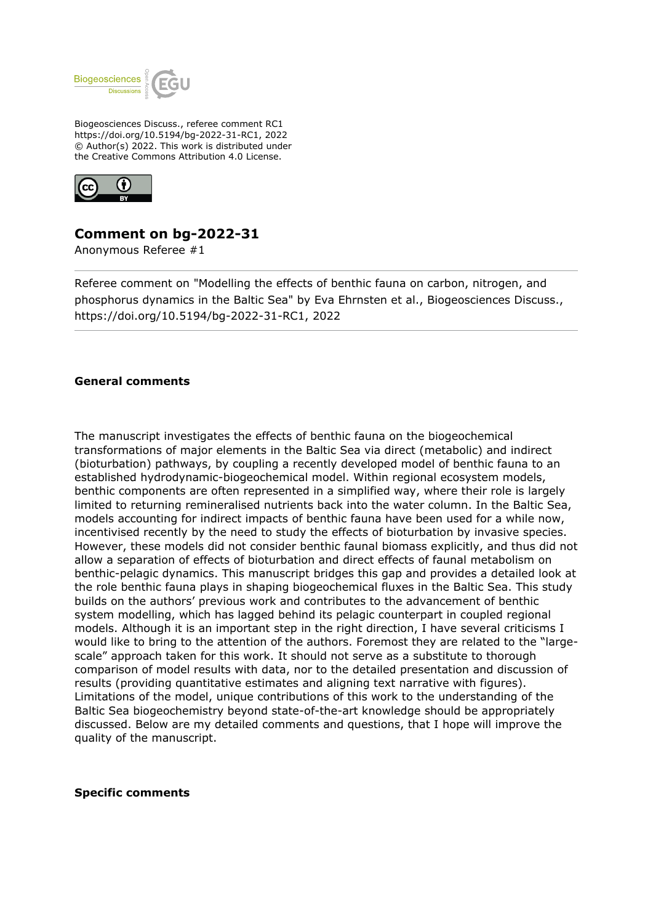

Biogeosciences Discuss., referee comment RC1 https://doi.org/10.5194/bg-2022-31-RC1, 2022 © Author(s) 2022. This work is distributed under the Creative Commons Attribution 4.0 License.



# **Comment on bg-2022-31**

Anonymous Referee #1

Referee comment on "Modelling the effects of benthic fauna on carbon, nitrogen, and phosphorus dynamics in the Baltic Sea" by Eva Ehrnsten et al., Biogeosciences Discuss., https://doi.org/10.5194/bg-2022-31-RC1, 2022

## **General comments**

The manuscript investigates the effects of benthic fauna on the biogeochemical transformations of major elements in the Baltic Sea via direct (metabolic) and indirect (bioturbation) pathways, by coupling a recently developed model of benthic fauna to an established hydrodynamic-biogeochemical model. Within regional ecosystem models, benthic components are often represented in a simplified way, where their role is largely limited to returning remineralised nutrients back into the water column. In the Baltic Sea, models accounting for indirect impacts of benthic fauna have been used for a while now, incentivised recently by the need to study the effects of bioturbation by invasive species. However, these models did not consider benthic faunal biomass explicitly, and thus did not allow a separation of effects of bioturbation and direct effects of faunal metabolism on benthic-pelagic dynamics. This manuscript bridges this gap and provides a detailed look at the role benthic fauna plays in shaping biogeochemical fluxes in the Baltic Sea. This study builds on the authors' previous work and contributes to the advancement of benthic system modelling, which has lagged behind its pelagic counterpart in coupled regional models. Although it is an important step in the right direction, I have several criticisms I would like to bring to the attention of the authors. Foremost they are related to the "largescale" approach taken for this work. It should not serve as a substitute to thorough comparison of model results with data, nor to the detailed presentation and discussion of results (providing quantitative estimates and aligning text narrative with figures). Limitations of the model, unique contributions of this work to the understanding of the Baltic Sea biogeochemistry beyond state-of-the-art knowledge should be appropriately discussed. Below are my detailed comments and questions, that I hope will improve the quality of the manuscript.

### **Specific comments**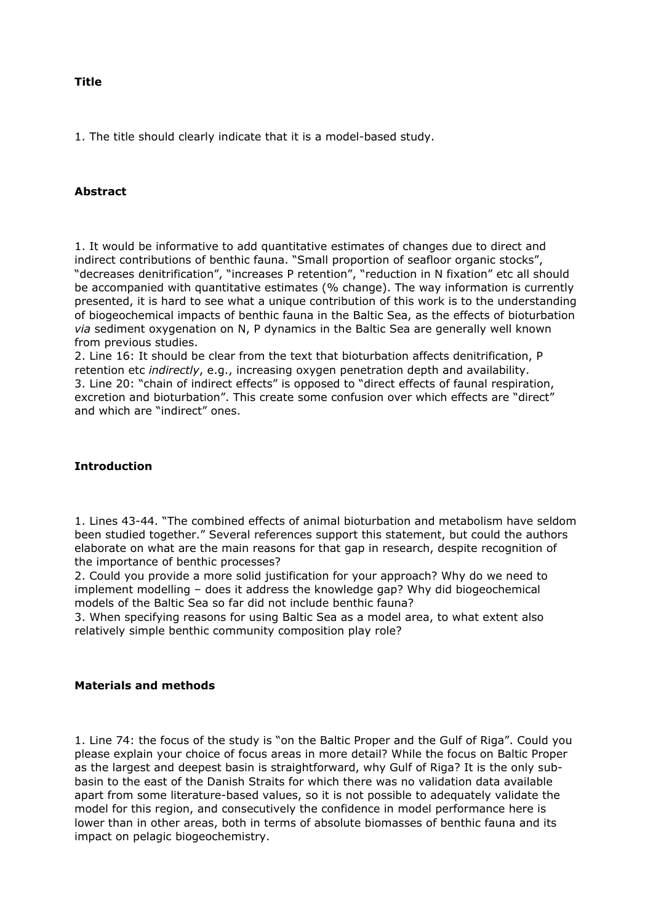### **Title**

1. The title should clearly indicate that it is a model-based study.

## **Abstract**

1. It would be informative to add quantitative estimates of changes due to direct and indirect contributions of benthic fauna. "Small proportion of seafloor organic stocks", "decreases denitrification", "increases P retention", "reduction in N fixation" etc all should be accompanied with quantitative estimates (% change). The way information is currently presented, it is hard to see what a unique contribution of this work is to the understanding of biogeochemical impacts of benthic fauna in the Baltic Sea, as the effects of bioturbation *via* sediment oxygenation on N, P dynamics in the Baltic Sea are generally well known from previous studies.

2. Line 16: It should be clear from the text that bioturbation affects denitrification, P retention etc *indirectly*, e.g., increasing oxygen penetration depth and availability. 3. Line 20: "chain of indirect effects" is opposed to "direct effects of faunal respiration, excretion and bioturbation". This create some confusion over which effects are "direct" and which are "indirect" ones.

## **Introduction**

1. Lines 43-44. "The combined effects of animal bioturbation and metabolism have seldom been studied together." Several references support this statement, but could the authors elaborate on what are the main reasons for that gap in research, despite recognition of the importance of benthic processes?

2. Could you provide a more solid justification for your approach? Why do we need to implement modelling – does it address the knowledge gap? Why did biogeochemical models of the Baltic Sea so far did not include benthic fauna?

3. When specifying reasons for using Baltic Sea as a model area, to what extent also relatively simple benthic community composition play role?

### **Materials and methods**

1. Line 74: the focus of the study is "on the Baltic Proper and the Gulf of Riga". Could you please explain your choice of focus areas in more detail? While the focus on Baltic Proper as the largest and deepest basin is straightforward, why Gulf of Riga? It is the only subbasin to the east of the Danish Straits for which there was no validation data available apart from some literature-based values, so it is not possible to adequately validate the model for this region, and consecutively the confidence in model performance here is lower than in other areas, both in terms of absolute biomasses of benthic fauna and its impact on pelagic biogeochemistry.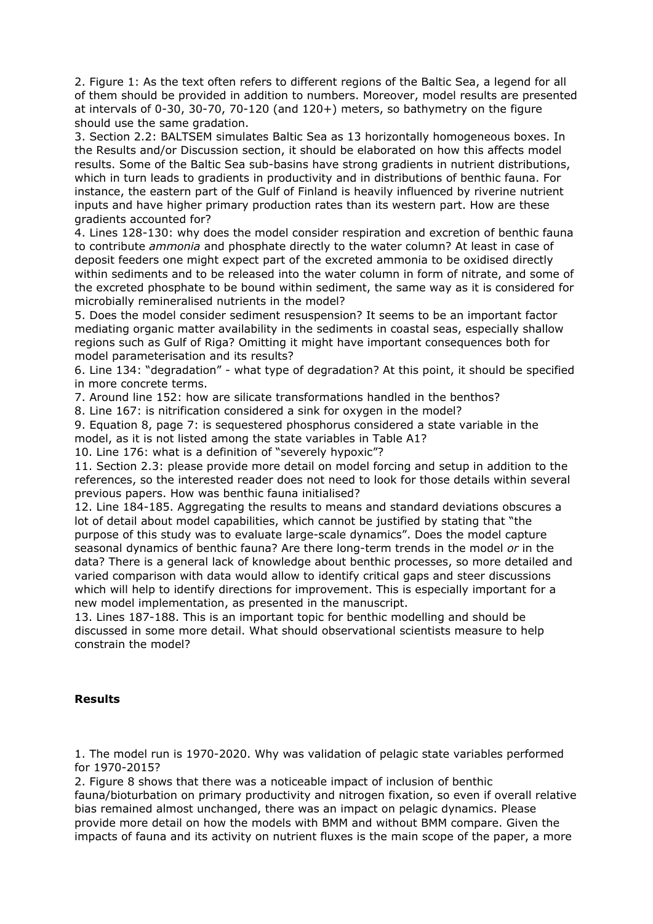2. Figure 1: As the text often refers to different regions of the Baltic Sea, a legend for all of them should be provided in addition to numbers. Moreover, model results are presented at intervals of 0-30, 30-70, 70-120 (and 120+) meters, so bathymetry on the figure should use the same gradation.

3. Section 2.2: BALTSEM simulates Baltic Sea as 13 horizontally homogeneous boxes. In the Results and/or Discussion section, it should be elaborated on how this affects model results. Some of the Baltic Sea sub-basins have strong gradients in nutrient distributions, which in turn leads to gradients in productivity and in distributions of benthic fauna. For instance, the eastern part of the Gulf of Finland is heavily influenced by riverine nutrient inputs and have higher primary production rates than its western part. How are these gradients accounted for?

4. Lines 128-130: why does the model consider respiration and excretion of benthic fauna to contribute *ammonia* and phosphate directly to the water column? At least in case of deposit feeders one might expect part of the excreted ammonia to be oxidised directly within sediments and to be released into the water column in form of nitrate, and some of the excreted phosphate to be bound within sediment, the same way as it is considered for microbially remineralised nutrients in the model?

5. Does the model consider sediment resuspension? It seems to be an important factor mediating organic matter availability in the sediments in coastal seas, especially shallow regions such as Gulf of Riga? Omitting it might have important consequences both for model parameterisation and its results?

6. Line 134: "degradation" - what type of degradation? At this point, it should be specified in more concrete terms.

7. Around line 152: how are silicate transformations handled in the benthos?

8. Line 167: is nitrification considered a sink for oxygen in the model?

9. Equation 8, page 7: is sequestered phosphorus considered a state variable in the model, as it is not listed among the state variables in Table A1?

10. Line 176: what is a definition of "severely hypoxic"?

11. Section 2.3: please provide more detail on model forcing and setup in addition to the references, so the interested reader does not need to look for those details within several previous papers. How was benthic fauna initialised?

12. Line 184-185. Aggregating the results to means and standard deviations obscures a lot of detail about model capabilities, which cannot be justified by stating that "the purpose of this study was to evaluate large-scale dynamics". Does the model capture seasonal dynamics of benthic fauna? Are there long-term trends in the model *or* in the data? There is a general lack of knowledge about benthic processes, so more detailed and varied comparison with data would allow to identify critical gaps and steer discussions which will help to identify directions for improvement. This is especially important for a new model implementation, as presented in the manuscript.

13. Lines 187-188. This is an important topic for benthic modelling and should be discussed in some more detail. What should observational scientists measure to help constrain the model?

## **Results**

1. The model run is 1970-2020. Why was validation of pelagic state variables performed for 1970-2015?

2. Figure 8 shows that there was a noticeable impact of inclusion of benthic fauna/bioturbation on primary productivity and nitrogen fixation, so even if overall relative bias remained almost unchanged, there was an impact on pelagic dynamics. Please provide more detail on how the models with BMM and without BMM compare. Given the impacts of fauna and its activity on nutrient fluxes is the main scope of the paper, a more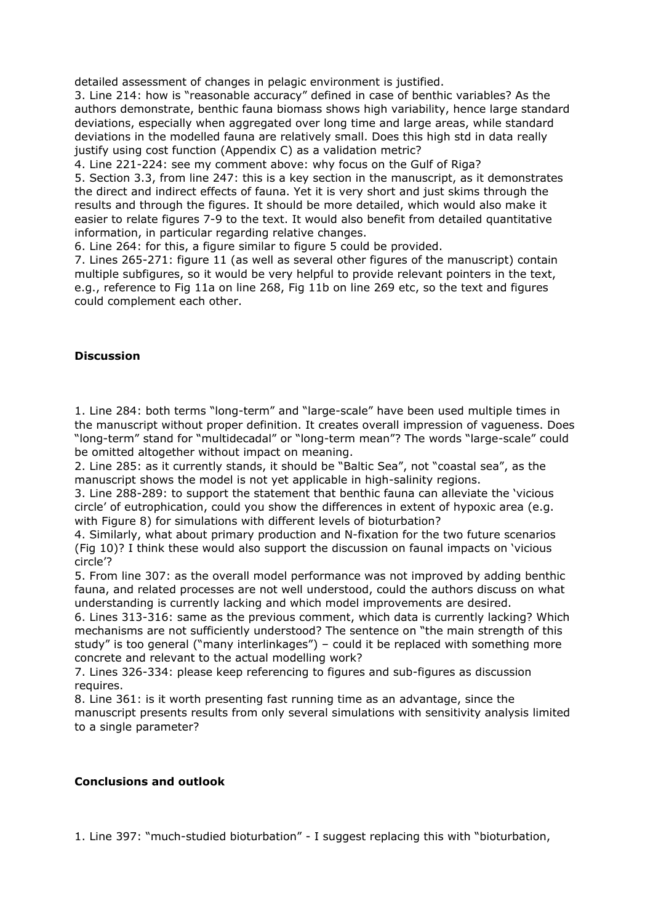detailed assessment of changes in pelagic environment is justified.

3. Line 214: how is "reasonable accuracy" defined in case of benthic variables? As the authors demonstrate, benthic fauna biomass shows high variability, hence large standard deviations, especially when aggregated over long time and large areas, while standard deviations in the modelled fauna are relatively small. Does this high std in data really justify using cost function (Appendix C) as a validation metric?

4. Line 221-224: see my comment above: why focus on the Gulf of Riga?

5. Section 3.3, from line 247: this is a key section in the manuscript, as it demonstrates the direct and indirect effects of fauna. Yet it is very short and just skims through the results and through the figures. It should be more detailed, which would also make it easier to relate figures 7-9 to the text. It would also benefit from detailed quantitative information, in particular regarding relative changes.

6. Line 264: for this, a figure similar to figure 5 could be provided.

7. Lines 265-271: figure 11 (as well as several other figures of the manuscript) contain multiple subfigures, so it would be very helpful to provide relevant pointers in the text, e.g., reference to Fig 11a on line 268, Fig 11b on line 269 etc, so the text and figures could complement each other.

## **Discussion**

1. Line 284: both terms "long-term" and "large-scale" have been used multiple times in the manuscript without proper definition. It creates overall impression of vagueness. Does "long-term" stand for "multidecadal" or "long-term mean"? The words "large-scale" could be omitted altogether without impact on meaning.

2. Line 285: as it currently stands, it should be "Baltic Sea", not "coastal sea", as the manuscript shows the model is not yet applicable in high-salinity regions.

3. Line 288-289: to support the statement that benthic fauna can alleviate the 'vicious circle' of eutrophication, could you show the differences in extent of hypoxic area (e.g. with Figure 8) for simulations with different levels of bioturbation?

4. Similarly, what about primary production and N-fixation for the two future scenarios (Fig 10)? I think these would also support the discussion on faunal impacts on 'vicious circle'?

5. From line 307: as the overall model performance was not improved by adding benthic fauna, and related processes are not well understood, could the authors discuss on what understanding is currently lacking and which model improvements are desired.

6. Lines 313-316: same as the previous comment, which data is currently lacking? Which mechanisms are not sufficiently understood? The sentence on "the main strength of this study" is too general ("many interlinkages") – could it be replaced with something more concrete and relevant to the actual modelling work?

7. Lines 326-334: please keep referencing to figures and sub-figures as discussion requires.

8. Line 361: is it worth presenting fast running time as an advantage, since the manuscript presents results from only several simulations with sensitivity analysis limited to a single parameter?

### **Conclusions and outlook**

1. Line 397: "much-studied bioturbation" - I suggest replacing this with "bioturbation,